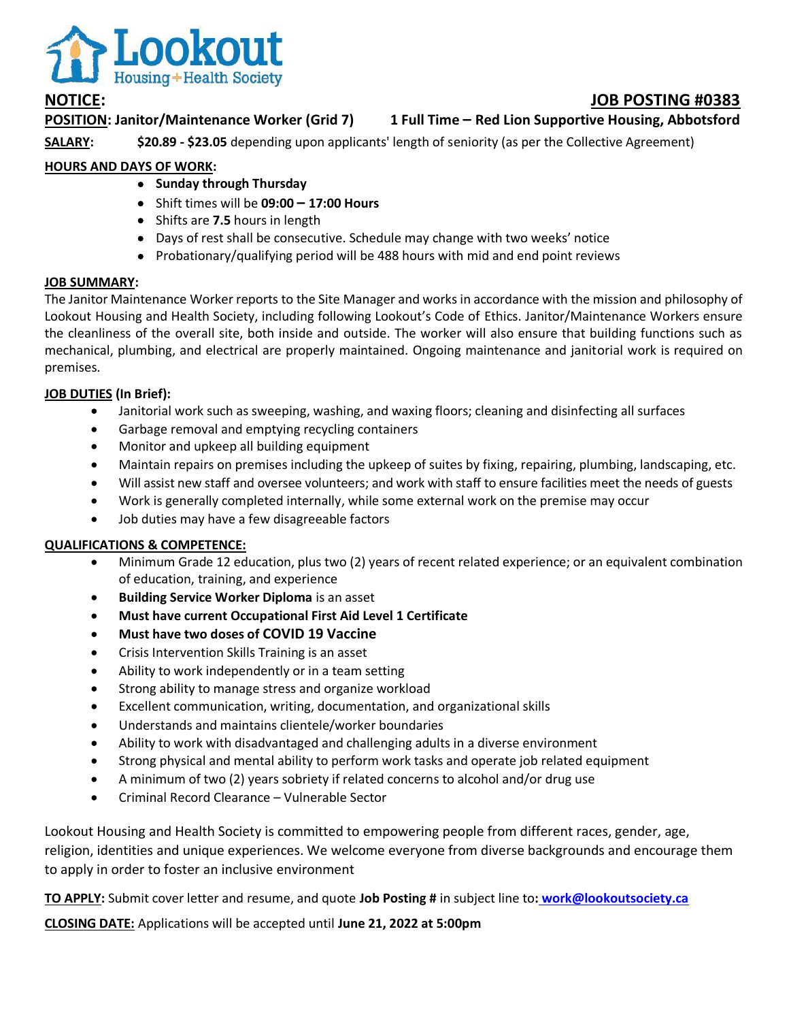

# **NOTICE: JOB POSTING #0383**

**POSITION: Janitor/Maintenance Worker (Grid 7) 1 Full Time – Red Lion Supportive Housing, Abbotsford**

**SALARY: \$20.89 - \$23.05** depending upon applicants' length of seniority (as per the Collective Agreement)

## **HOURS AND DAYS OF WORK:**

- **•** Sunday through Thursday
- Shift times will be **09:00 – 17:00 Hours**
- Shifts are **7.5** hours in length
- Days of rest shall be consecutive. Schedule may change with two weeks' notice
- Probationary/qualifying period will be 488 hours with mid and end point reviews

### **JOB SUMMARY:**

The Janitor Maintenance Worker reports to the Site Manager and works in accordance with the mission and philosophy of Lookout Housing and Health Society, including following Lookout's Code of Ethics. Janitor/Maintenance Workers ensure the cleanliness of the overall site, both inside and outside. The worker will also ensure that building functions such as mechanical, plumbing, and electrical are properly maintained. Ongoing maintenance and janitorial work is required on premises.

### **JOB DUTIES (In Brief):**

- Janitorial work such as sweeping, washing, and waxing floors; cleaning and disinfecting all surfaces
- Garbage removal and emptying recycling containers
- Monitor and upkeep all building equipment
- Maintain repairs on premises including the upkeep of suites by fixing, repairing, plumbing, landscaping, etc.
- Will assist new staff and oversee volunteers; and work with staff to ensure facilities meet the needs of guests
- Work is generally completed internally, while some external work on the premise may occur
- Job duties may have a few disagreeable factors

#### **QUALIFICATIONS & COMPETENCE:**

- Minimum Grade 12 education, plus two (2) years of recent related experience; or an equivalent combination of education, training, and experience
- **Building Service Worker Diploma** is an asset
- **Must have current Occupational First Aid Level 1 Certificate**
- **Must have two doses of COVID 19 Vaccine**
- Crisis Intervention Skills Training is an asset
- Ability to work independently or in a team setting
- Strong ability to manage stress and organize workload
- Excellent communication, writing, documentation, and organizational skills
- Understands and maintains clientele/worker boundaries
- Ability to work with disadvantaged and challenging adults in a diverse environment
- Strong physical and mental ability to perform work tasks and operate job related equipment
- A minimum of two (2) years sobriety if related concerns to alcohol and/or drug use
- Criminal Record Clearance Vulnerable Sector

Lookout Housing and Health Society is committed to empowering people from different races, gender, age, religion, identities and unique experiences. We welcome everyone from diverse backgrounds and encourage them to apply in order to foster an inclusive environment

**TO APPLY:** Submit cover letter and resume, and quote **Job Posting #** in subject line to**: [work@lookoutsociety.ca](mailto:work@lookoutsociety.ca)**

**CLOSING DATE:** Applications will be accepted until **June 21, 2022 at 5:00pm**